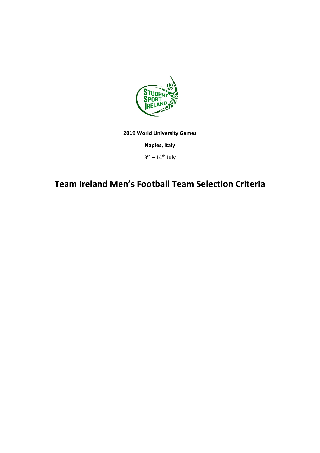

**2019 World University Games**

**Naples, Italy** 

 $3^{\text{rd}} - 14^{\text{th}}$  July

## **Team Ireland Men's Football Team Selection Criteria**